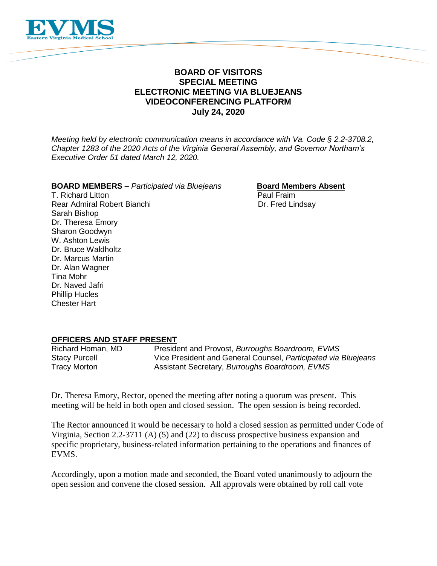

# **BOARD OF VISITORS SPECIAL MEETING ELECTRONIC MEETING VIA BLUEJEANS VIDEOCONFERENCING PLATFORM July 24, 2020**

*Meeting held by electronic communication means in accordance with Va. Code § 2.2-3708.2, Chapter 1283 of the 2020 Acts of the Virginia General Assembly, and Governor Northam's Executive Order 51 dated March 12, 2020.*

### **BOARD MEMBERS –** *Participated via Bluejeans* **Board Members Absent**

T. Richard Litton Paul Fraim Rear Admiral Robert Bianchi Dr. Fred Lindsay Sarah Bishop Dr. Theresa Emory Sharon Goodwyn W. Ashton Lewis Dr. Bruce Waldholtz Dr. Marcus Martin Dr. Alan Wagner Tina Mohr Dr. Naved Jafri Phillip Hucles Chester Hart

## **OFFICERS AND STAFF PRESENT**

Richard Homan, MD President and Provost, *Burroughs Boardroom, EVMS* Stacy Purcell Vice President and General Counsel, *Participated via Bluejeans* Tracy Morton Assistant Secretary, *Burroughs Boardroom, EVMS*

Dr. Theresa Emory, Rector, opened the meeting after noting a quorum was present. This meeting will be held in both open and closed session. The open session is being recorded.

The Rector announced it would be necessary to hold a closed session as permitted under Code of Virginia, Section 2.2-3711 (A) (5) and (22) to discuss prospective business expansion and specific proprietary, business-related information pertaining to the operations and finances of EVMS.

Accordingly, upon a motion made and seconded, the Board voted unanimously to adjourn the open session and convene the closed session. All approvals were obtained by roll call vote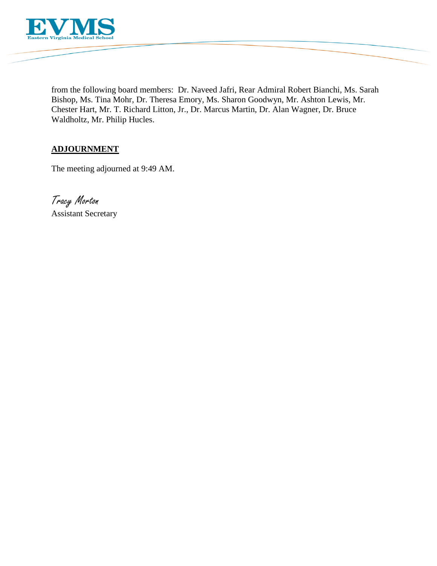

from the following board members: Dr. Naveed Jafri, Rear Admiral Robert Bianchi, Ms. Sarah Bishop, Ms. Tina Mohr, Dr. Theresa Emory, Ms. Sharon Goodwyn, Mr. Ashton Lewis, Mr. Chester Hart, Mr. T. Richard Litton, Jr., Dr. Marcus Martin, Dr. Alan Wagner, Dr. Bruce Waldholtz, Mr. Philip Hucles.

# **ADJOURNMENT**

The meeting adjourned at 9:49 AM.

Tracy Morton Assistant Secretary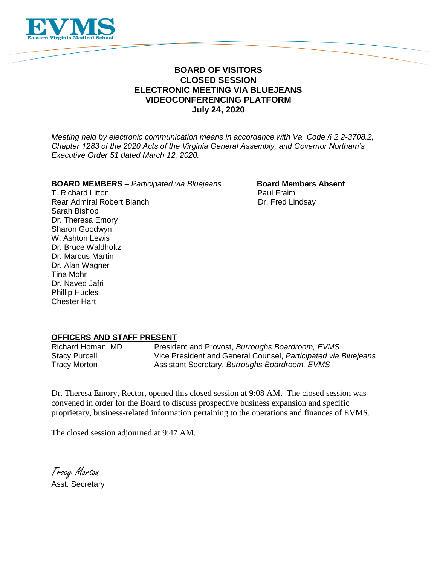

# **BOARD OF VISITORS CLOSED SESSION ELECTRONIC MEETING VIA BLUEJEANS VIDEOCONFERENCING PLATFORM July 24, 2020**

*Meeting held by electronic communication means in accordance with Va. Code § 2.2-3708.2, Chapter 1283 of the 2020 Acts of the Virginia General Assembly, and Governor Northam's Executive Order 51 dated March 12, 2020.*

### **BOARD MEMBERS** – *Participated via Bluejeans* **Board Members Absent**

T. Richard Litton **Paul Fraim** Rear Admiral Robert Bianchi Dr. Fred Lindsay Sarah Bishop Dr. Theresa Emory Sharon Goodwyn W. Ashton Lewis Dr. Bruce Waldholtz Dr. Marcus Martin Dr. Alan Wagner Tina Mohr Dr. Naved Jafri Phillip Hucles Chester Hart

## **OFFICERS AND STAFF PRESENT**

Richard Homan, MD President and Provost, *Burroughs Boardroom, EVMS* Stacy Purcell Vice President and General Counsel, *Participated via Bluejeans* Tracy Morton Assistant Secretary, *Burroughs Boardroom, EVMS*

Dr. Theresa Emory, Rector, opened this closed session at 9:08 AM. The closed session was convened in order for the Board to discuss prospective business expansion and specific proprietary, business-related information pertaining to the operations and finances of EVMS.

The closed session adjourned at 9:47 AM.

Tracy Morton Asst. Secretary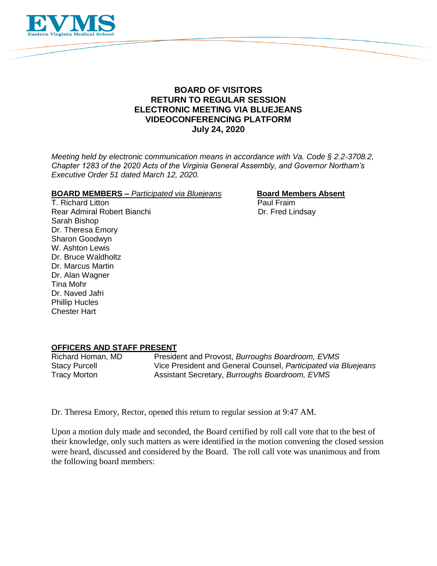

# **BOARD OF VISITORS RETURN TO REGULAR SESSION ELECTRONIC MEETING VIA BLUEJEANS VIDEOCONFERENCING PLATFORM July 24, 2020**

*Meeting held by electronic communication means in accordance with Va. Code § 2.2-3708.2, Chapter 1283 of the 2020 Acts of the Virginia General Assembly, and Governor Northam's Executive Order 51 dated March 12, 2020.*

### **BOARD MEMBERS –** *Participated via Bluejeans* **Board Members Absent**

T. Richard Litton **Paul Fraim** Rear Admiral Robert Bianchi Dr. Fred Lindsay Sarah Bishop Dr. Theresa Emory Sharon Goodwyn W. Ashton Lewis Dr. Bruce Waldholtz Dr. Marcus Martin Dr. Alan Wagner Tina Mohr Dr. Naved Jafri Phillip Hucles Chester Hart

## **OFFICERS AND STAFF PRESENT**

Richard Homan, MD President and Provost, *Burroughs Boardroom, EVMS* Vice President and General Counsel, *Participated via Bluejeans* Tracy Morton Assistant Secretary, *Burroughs Boardroom, EVMS*

Dr. Theresa Emory, Rector, opened this return to regular session at 9:47 AM.

Upon a motion duly made and seconded, the Board certified by roll call vote that to the best of their knowledge, only such matters as were identified in the motion convening the closed session were heard, discussed and considered by the Board. The roll call vote was unanimous and from the following board members: